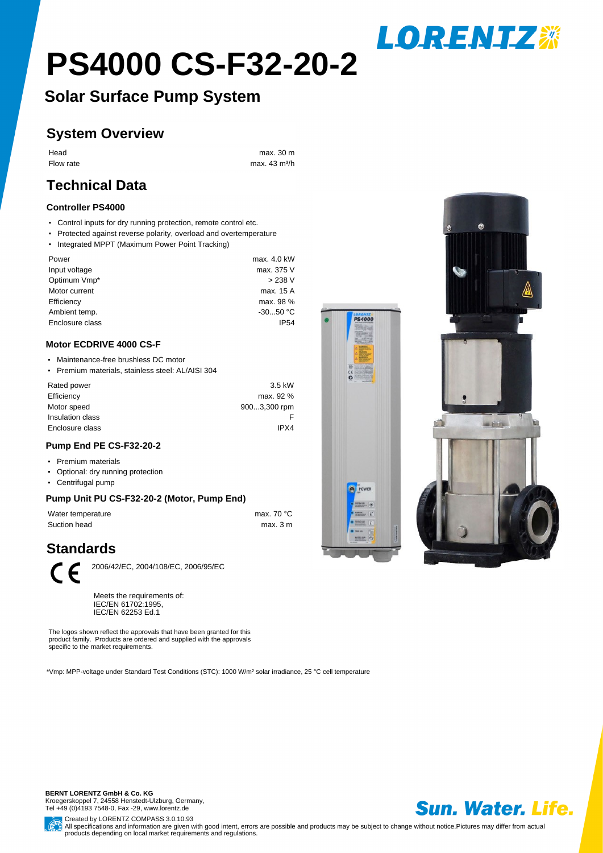# **PS4000 CS-F32-20-2**

# **Solar Surface Pump System**

## **System Overview**

Head max. 30 m

Flow rate max. 43 m<sup>3</sup>/h

# **Technical Data**

#### **Controller PS4000**

- Control inputs for dry running protection, remote control etc.
- Protected against reverse polarity, overload and overtemperature
- Integrated MPPT (Maximum Power Point Tracking)

| Power           | max. 4.0 kW |
|-----------------|-------------|
| Input voltage   | max. 375 V  |
| Optimum Vmp*    | > 238 V     |
| Motor current   | max. 15 A   |
| Efficiency      | max. 98 %   |
| Ambient temp.   | $-3050 °C$  |
| Enclosure class | <b>IP54</b> |
|                 |             |

#### **Motor ECDRIVE 4000 CS-F**

- Maintenance-free brushless DC motor
- ƒPremium materials, stainless steel: AL/AISI 304

| Rated power      | 3.5 kW       |
|------------------|--------------|
| Efficiency       | max. 92 %    |
| Motor speed      | 9003,300 rpm |
| Insulation class |              |
| Enclosure class  | IPX4         |
|                  |              |

#### **Pump End PE CS-F32-20-2**

- Premium materials
- Optional: dry running protection
- Centrifugal pump

#### **Pump Unit PU CS-F32-20-2 (Motor, Pump End)**

Water temperature max. 70 °C Suction head max. 3 m

## **Standards**



2006/42/EC, 2004/108/EC, 2006/95/EC

Meets the requirements of: IEC/EN 61702:1995, IEC/EN 62253 Ed.1

The logos shown reflect the approvals that have been granted for this product family. Products are ordered and supplied with the approvals specific to the market requirements.

\*Vmp: MPP-voltage under Standard Test Conditions (STC): 1000 W/m² solar irradiance, 25 °C cell temperature





**LORENTZ\*** 

**BERNT LORENTZ GmbH & Co. KG** Kroegerskoppel 7, 24558 Henstedt-Ulzburg, Germany, Tel +49 (0)4193 7548-0, Fax -29, www.lorentz.de



Created by LORENTZ COMPASS 3.0.10.93 All specifications and information are given with good intent, errors are possible and products may be subject to change without notice. Pictures may differ from actual products depending on local market requirements and regulations.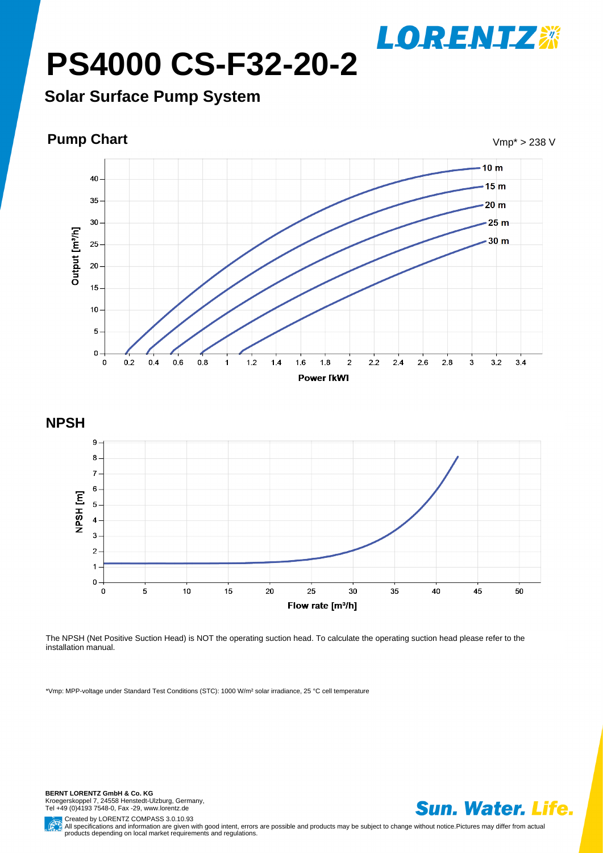**PS4000 CS-F32-20-2**

**Solar Surface Pump System**







The NPSH (Net Positive Suction Head) is NOT the operating suction head. To calculate the operating suction head please refer to the installation manual.

\*Vmp: MPP-voltage under Standard Test Conditions (STC): 1000 W/m² solar irradiance, 25 °C cell temperature

**BERNT LORENTZ GmbH & Co. KG** Kroegerskoppel 7, 24558 Henstedt-Ulzburg, Germany, Tel +49 (0)4193 7548-0, Fax -29, www.lorentz.de



**LORENTZ※** 

Created by LORENTZ COMPASS 3.0.10.93 All specifications and information are given with good intent, errors are possible and products may be subject to change without notice.Pictures may differ from actual<br>products depending on local market requirements and re